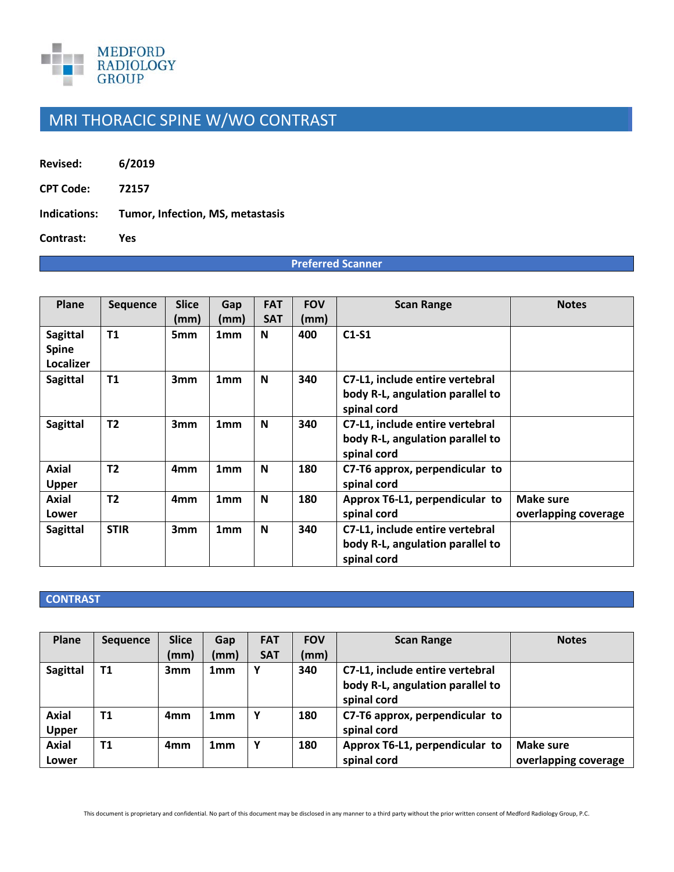

## MRI THORACIC SPINE W/WO CONTRAST

**Revised: 6/2019**

**CPT Code: 72157**

**Indications: Tumor, Infection, MS, metastasis** 

**Contrast: Yes**

## **Preferred Scanner**

| Plane                                        | <b>Sequence</b> | <b>Slice</b>    | Gap             | <b>FAT</b> | <b>FOV</b> | <b>Scan Range</b>                                                                  | <b>Notes</b>                      |
|----------------------------------------------|-----------------|-----------------|-----------------|------------|------------|------------------------------------------------------------------------------------|-----------------------------------|
|                                              |                 | (mm)            | (mm)            | <b>SAT</b> | (mm)       |                                                                                    |                                   |
| <b>Sagittal</b><br><b>Spine</b><br>Localizer | <b>T1</b>       | 5mm             | 1 <sub>mm</sub> | N          | 400        | $C1-S1$                                                                            |                                   |
| <b>Sagittal</b>                              | T1              | 3mm             | 1 <sub>mm</sub> | N          | 340        | C7-L1, include entire vertebral<br>body R-L, angulation parallel to<br>spinal cord |                                   |
| <b>Sagittal</b>                              | T <sub>2</sub>  | 3mm             | 1 <sub>mm</sub> | N          | 340        | C7-L1, include entire vertebral<br>body R-L, angulation parallel to<br>spinal cord |                                   |
| <b>Axial</b><br>Upper                        | T <sub>2</sub>  | 4 <sub>mm</sub> | 1 <sub>mm</sub> | N          | 180        | C7-T6 approx, perpendicular to<br>spinal cord                                      |                                   |
| <b>Axial</b><br>Lower                        | T <sub>2</sub>  | 4mm             | 1 <sub>mm</sub> | N          | 180        | Approx T6-L1, perpendicular to<br>spinal cord                                      | Make sure<br>overlapping coverage |
| <b>Sagittal</b>                              | <b>STIR</b>     | 3mm             | 1 <sub>mm</sub> | N          | 340        | C7-L1, include entire vertebral<br>body R-L, angulation parallel to<br>spinal cord |                                   |

## **CONTRAST**

| Plane           | <b>Sequence</b> | <b>Slice</b>    | Gap             | <b>FAT</b> | <b>FOV</b> | <b>Scan Range</b>                | <b>Notes</b>         |
|-----------------|-----------------|-----------------|-----------------|------------|------------|----------------------------------|----------------------|
|                 |                 | (mm)            | (mm)            | <b>SAT</b> | (mm)       |                                  |                      |
| <b>Sagittal</b> | <b>T1</b>       | 3mm             | 1mm             | v          | 340        | C7-L1, include entire vertebral  |                      |
|                 |                 |                 |                 |            |            | body R-L, angulation parallel to |                      |
|                 |                 |                 |                 |            |            | spinal cord                      |                      |
| <b>Axial</b>    | <b>T1</b>       | 4 <sub>mm</sub> | 1 <sub>mm</sub> | ν          | 180        | C7-T6 approx, perpendicular to   |                      |
| <b>Upper</b>    |                 |                 |                 |            |            | spinal cord                      |                      |
| <b>Axial</b>    | T <sub>1</sub>  | 4 <sub>mm</sub> | 1 <sub>mm</sub> | v          | 180        | Approx T6-L1, perpendicular to   | Make sure            |
| Lower           |                 |                 |                 |            |            | spinal cord                      | overlapping coverage |